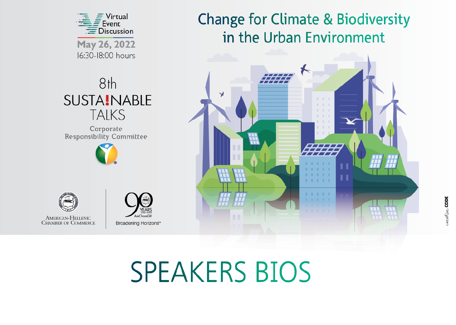

# **SPEAKERS BIOS**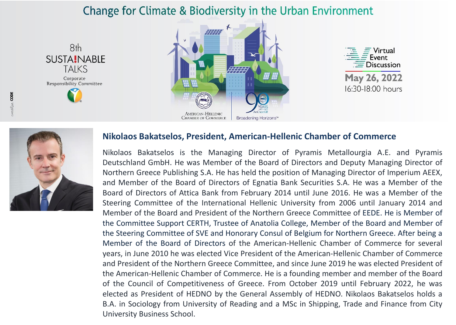





16:30-18:00 hours



#### **Nikolaos Bakatselos, President, American-Hellenic Chamber of Commerce**

Nikolaos Bakatselos is the Managing Director of Pyramis Metallourgia A.E. and Pyramis Deutschland GmbH. He was Member of the Board of Directors and Deputy Managing Director of Northern Greece Publishing S.A. He has held the position of Managing Director of Imperium AEEX, and Member of the Board of Directors of Egnatia Bank Securities S.A. He was a Member of the Board of Directors of Attica Bank from February 2014 until June 2016. He was a Member of the Steering Committee of the International Hellenic University from 2006 until January 2014 and Member of the Board and President of the Northern Greece Committee of EEDE. He is Member of the Committee Support CERTH, Trustee of Anatolia College, Member of the Board and Member of the Steering Committee of SVE and Honorary Consul of Belgium for Northern Greece. After being a Member of the Board of Directors of the American-Hellenic Chamber of Commerce for several years, in June 2010 he was elected Vice President of the American-Hellenic Chamber of Commerce and President of the Northern Greece Committee, and since June 2019 he was elected President of the American-Hellenic Chamber of Commerce. He is a founding member and member of the Board of the Council of Competitiveness of Greece. From October 2019 until February 2022, he was elected as President of HEDNO by the General Assembly of HEDNO. Nikolaos Bakatselos holds a B.A. in Sociology from University of Reading and a MSc in Shipping, Trade and Finance from City University Business School.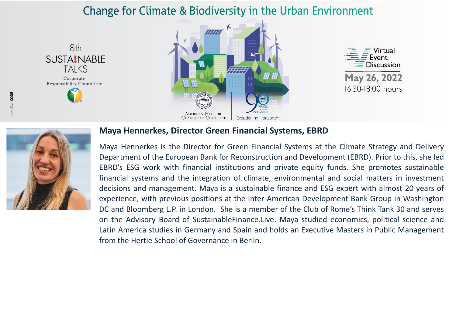





16:30-18:00 hours



#### **Maya Hennerkes, Director Green Financial Systems, EBRD**

Maya Hennerkes is the Director for Green Financial Systems at the Climate Strategy and Delivery Department of the European Bank for Reconstruction and Development (EBRD). Prior to this, she led EBRD's ESG work with financial institutions and private equity funds. She promotes sustainable financial systems and the integration of climate, environmental and social matters in investment decisions and management. Maya is a sustainable finance and ESG expert with almost 20 years of experience, with previous positions at the Inter-American Development Bank Group in Washington DC and Bloomberg L.P. in London. She is a member of the Club of Rome's Think Tank 30 and serves on the Advisory Board of SustainableFinance.Live. Maya studied economics, political science and Latin America studies in Germany and Spain and holds an Executive Masters in Public Management from the Hertie School of Governance in Berlin.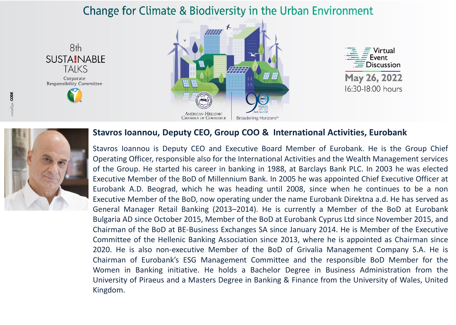





16:30-18:00 hours



#### **Stavros Ioannou, Deputy CEO, Group COO & International Activities, Eurobank**

Stavros Ioannou is Deputy CEO and Executive Board Member of Eurobank. He is the Group Chief Operating Officer, responsible also for the International Activities and the Wealth Management services of the Group. He started his career in banking in 1988, at Barclays Bank PLC. In 2003 he was elected Executive Member of the BoD of Millennium Bank. In 2005 he was appointed Chief Executive Officer at Eurobank A.D. Beograd, which he was heading until 2008, since when he continues to be a non Executive Member of the BoD, now operating under the name Eurobank Direktna a.d. He has served as General Manager Retail Banking (2013–2014). He is currently a Member of the BoD at Eurobank Bulgaria AD since October 2015, Member of the BoD at Eurobank Cyprus Ltd since November 2015, and Chairman of the BoD at BE-Business Exchanges SA since January 2014. He is Member of the Executive Committee of the Hellenic Banking Association since 2013, where he is appointed as Chairman since 2020. He is also non-executive Member of the BoD of Grivalia Management Company S.A. He is Chairman of Eurobank's ESG Management Committee and the responsible BoD Member for the Women in Banking initiative. He holds a Bachelor Degree in Business Administration from the University of Piraeus and a Masters Degree in Banking & Finance from the University of Wales, United Kingdom.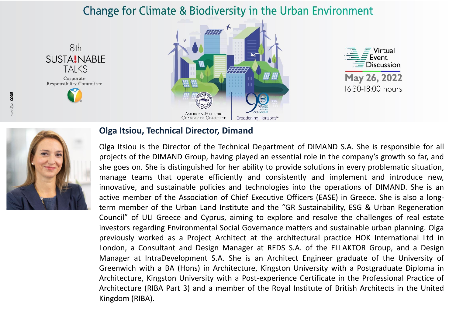





16:30-18:00 hours



#### **Olga Itsiou, Technical Director, Dimand**

Olga Itsiou is the Director of the Technical Department of DIMAND S.A. She is responsible for all projects of the DIMAND Group, having played an essential role in the company's growth so far, and she goes on. She is distinguished for her ability to provide solutions in every problematic situation, manage teams that operate efficiently and consistently and implement and introduce new, innovative, and sustainable policies and technologies into the operations of DIMAND. She is an active member of the Association of Chief Executive Officers (EASE) in Greece. She is also a longterm member of the Urban Land Institute and the "GR Sustainability, ESG & Urban Regeneration Council" of ULI Greece and Cyprus, aiming to explore and resolve the challenges of real estate investors regarding Environmental Social Governance matters and sustainable urban planning. Olga previously worked as a Project Architect at the architectural practice HOK International Ltd in London, a Consultant and Design Manager at REDS S.A. of the ELLAKTOR Group, and a Design Manager at IntraDevelopment S.A. She is an Architect Engineer graduate of the University of Greenwich with a BA (Hons) in Architecture, Kingston University with a Postgraduate Diploma in Architecture, Kingston University with a Post-experience Certificate in the Professional Practice of Architecture (RIBA Part 3) and a member of the Royal Institute of British Architects in the United Kingdom (RIBA).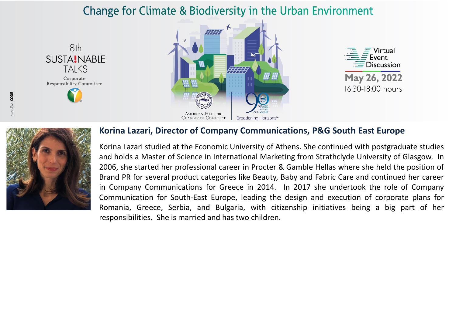







#### **Korina Lazari, Director of Company Communications, P&G South East Europe**

Korina Lazari studied at the Economic University of Athens. She continued with postgraduate studies and holds a Master of Science in International Marketing from Strathclyde University of Glasgow. In 2006, she started her professional career in Procter & Gamble Hellas where she held the position of Brand PR for several product categories like Beauty, Baby and Fabric Care and continued her career in Company Communications for Greece in 2014. In 2017 she undertook the role of Company Communication for South-East Europe, leading the design and execution of corporate plans for Romania, Greece, Serbia, and Bulgaria, with citizenship initiatives being a big part of her responsibilities. She is married and has two children.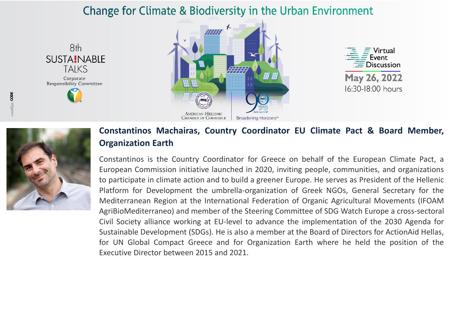





16:30-18:00 hours



#### **Constantinos Machairas, Country Coordinator EU Climate Pact & Board Member, Organization Earth**

Constantinos is the Country Coordinator for Greece on behalf of the European Climate Pact, a European Commission initiative launched in 2020, inviting people, communities, and organizations to participate in climate action and to build a greener Europe. He serves as President of the Hellenic Platform for Development the umbrella-organization of Greek NGOs, General Secretary for the Mediterranean Region at the International Federation of Organic Agricultural Movements (IFOAM AgriBioMediterraneo) and member of the Steering Committee of SDG Watch Europe a cross-sectoral Civil Society alliance working at EU-level to advance the implementation of the 2030 Agenda for Sustainable Development (SDGs). He is also a member at the Board of Directors for ActionAid Hellas, for UN Global Compact Greece and for Organization Earth where he held the position of the Executive Director between 2015 and 2021.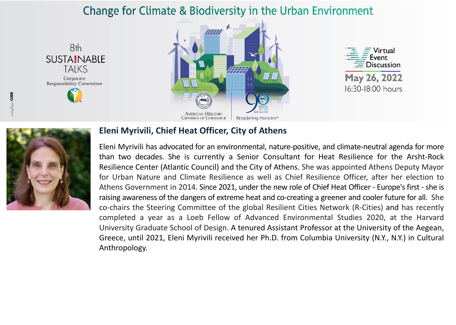





16:30-18:00 hours



#### **Eleni Myrivili, Chief Heat Officer, City of Athens**

Eleni Myrivili has advocated for an environmental, nature-positive, and climate-neutral agenda for more than two decades. She is currently a Senior Consultant for Heat Resilience for the Arsht-Rock Resilience Center (Atlantic Council) and the City of Athens. She was appointed Athens Deputy Mayor for Urban Nature and Climate Resilience as well as Chief Resilience Officer, after her election to Athens Government in 2014. Since 2021, under the new role of Chief Heat Officer - Europe's first - she is raising awareness of the dangers of extreme heat and co-creating a greener and cooler future for all. She co-chairs the Steering Committee of the global Resilient Cities Network (R-Cities) and has recently completed a year as a Loeb Fellow of Advanced Environmental Studies 2020, at the Harvard University Graduate School of Design. A tenured Assistant Professor at the University of the Aegean, Greece, until 2021, Eleni Myrivili received her Ph.D. from Columbia University (N.Y., N.Y.) in Cultural Anthropology.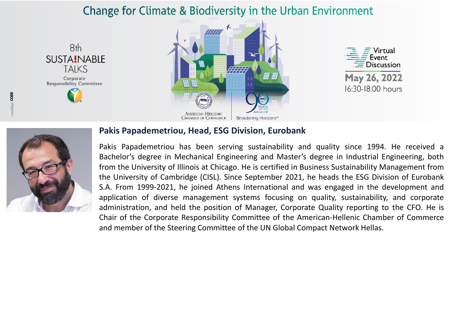





16:30-18:00 hours



#### **Pakis Papademetriou, Head, ESG Division, Eurobank**

Pakis Papademetriou has been serving sustainability and quality since 1994. He received a Bachelor's degree in Mechanical Engineering and Master's degree in Industrial Engineering, both from the University of Illinois at Chicago. He is certified in Business Sustainability Management from the University of Cambridge (CISL). Since September 2021, he heads the ESG Division of Eurobank S.A. From 1999-2021, he joined Athens International and was engaged in the development and application of diverse management systems focusing on quality, sustainability, and corporate administration, and held the position of Manager, Corporate Quality reporting to the CFO. He is Chair of the Corporate Responsibility Committee of the American-Hellenic Chamber of Commerce and member of the Steering Committee of the UN Global Compact Network Hellas.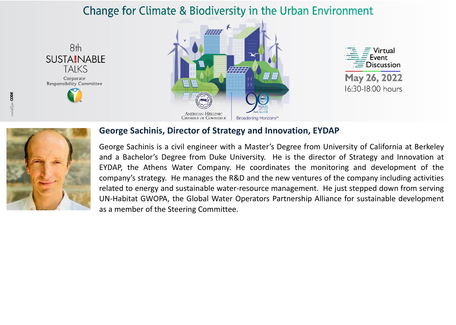





#### **George Sachinis, Director of Strategy and Innovation, EYDAP**

George Sachinis is a civil engineer with a Master's Degree from University of California at Berkeley and a Bachelor's Degree from Duke University. He is the director of Strategy and Innovation at EYDAP, the Athens Water Company. He coordinates the monitoring and development of the company's strategy. He manages the R&D and the new ventures of the company including activities related to energy and sustainable water-resource management. He just stepped down from serving UN-Habitat GWOPA, the Global Water Operators Partnership Alliance for sustainable development as a member of the Steering Committee.